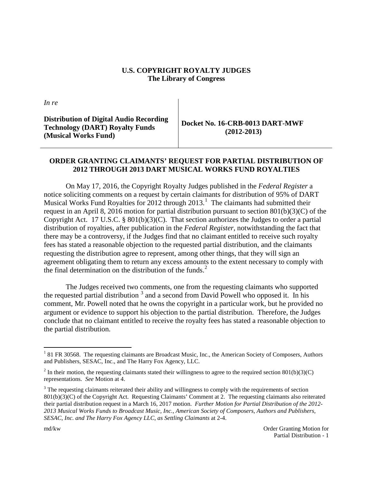## **U.S. COPYRIGHT ROYALTY JUDGES The Library of Congress**

*In re*

**Distribution of Digital Audio Recording Technology (DART) Royalty Funds (Musical Works Fund)** 

**Docket No. 16-CRB-0013 DART-MWF (2012-2013)**

## **ORDER GRANTING CLAIMANTS' REQUEST FOR PARTIAL DISTRIBUTION OF 2012 THROUGH 2013 DART MUSICAL WORKS FUND ROYALTIES**

On May 17, 2016, the Copyright Royalty Judges published in the *Federal Register* a notice soliciting comments on a request by certain claimants for distribution of 95% of DART Musical Works Fund Royalties for 20[1](#page-0-0)2 through 2013.<sup>1</sup> The claimants had submitted their request in an April 8, 2016 motion for partial distribution pursuant to section 801(b)(3)(C) of the Copyright Act. 17 U.S.C. § 801(b)(3)(C). That section authorizes the Judges to order a partial distribution of royalties, after publication in the *Federal Register*, notwithstanding the fact that there may be a controversy, if the Judges find that no claimant entitled to receive such royalty fees has stated a reasonable objection to the requested partial distribution, and the claimants requesting the distribution agree to represent, among other things, that they will sign an agreement obligating them to return any excess amounts to the extent necessary to comply with the final determination on the distribution of the funds.<sup>[2](#page-0-1)</sup>

The Judges received two comments, one from the requesting claimants who supported the requested partial distribution  $3$  and a second from David Powell who opposed it. In his comment, Mr. Powell noted that he owns the copyright in a particular work, but he provided no argument or evidence to support his objection to the partial distribution. Therefore, the Judges conclude that no claimant entitled to receive the royalty fees has stated a reasonable objection to the partial distribution.

<span id="page-0-0"></span> $181$  FR 30568. The requesting claimants are Broadcast Music, Inc., the American Society of Composers, Authors and Publishers, SESAC, Inc., and The Harry Fox Agency, LLC.

<span id="page-0-1"></span><sup>&</sup>lt;sup>2</sup> In their motion, the requesting claimants stated their willingness to agree to the required section 801(b)(3)(C) representations. *See* Motion at 4.

<span id="page-0-2"></span><sup>&</sup>lt;sup>3</sup> The requesting claimants reiterated their ability and willingness to comply with the requirements of section 801(b)(3)(C) of the Copyright Act. Requesting Claimants' Comment at 2. The requesting claimants also reiterated their partial distribution request in a March 16, 2017 motion. *Further Motion for Partial Distribution of the 2012- 2013 Musical Works Funds to Broadcast Music, Inc., American Society of Composers, Authors and Publishers, SESAC, Inc. and The Harry Fox Agency LLC, as Settling Claimants* at 2-4.